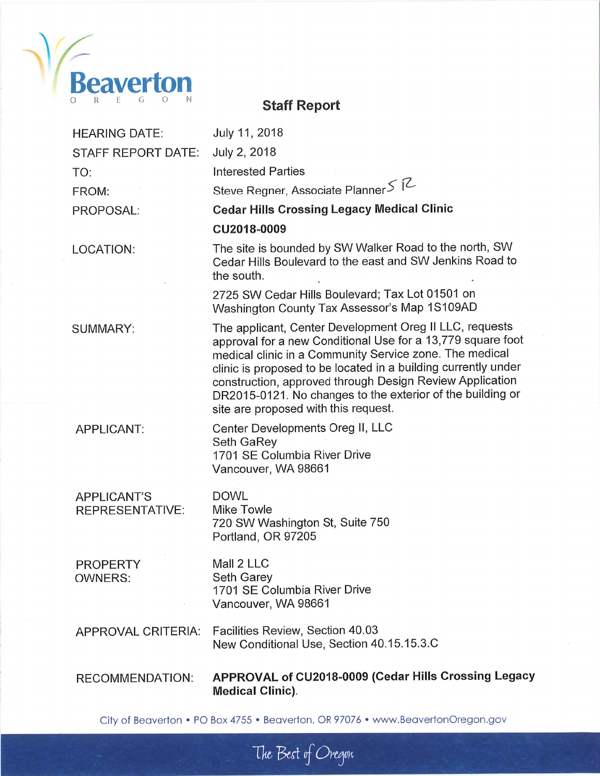

#### **HEARING DATE:** July 11, 2018 STAFF REPORT DATE: July 2, 2018 **Interested Parties** TO: Steve Regner, Associate Planner S R FROM: **Cedar Hills Crossing Legacy Medical Clinic** PROPOSAL: CU2018-0009 The site is bounded by SW Walker Road to the north, SW LOCATION: Cedar Hills Boulevard to the east and SW Jenkins Road to the south. 2725 SW Cedar Hills Boulevard; Tax Lot 01501 on Washington County Tax Assessor's Map 1S109AD The applicant, Center Development Oreg II LLC, requests SUMMARY: approval for a new Conditional Use for a 13,779 square foot medical clinic in a Community Service zone. The medical clinic is proposed to be located in a building currently under construction, approved through Design Review Application DR2015-0121. No changes to the exterior of the building or site are proposed with this request. Center Developments Oreg II, LLC APPLICANT: Seth GaRey 1701 SE Columbia River Drive Vancouver, WA 98661 **DOWL APPLICANT'S** Mike Towle **REPRESENTATIVE:** 720 SW Washington St, Suite 750 Portland, OR 97205 Mall 2 LLC **PROPERTY OWNERS:** Seth Garey 1701 SE Columbia River Drive Vancouver, WA 98661 Facilities Review, Section 40.03 APPROVAL CRITERIA: New Conditional Use, Section 40.15.15.3.C APPROVAL of CU2018-0009 (Cedar Hills Crossing Legacy RECOMMENDATION:

**Staff Report** 

City of Beaverton • PO Box 4755 • Beaverton, OR 97076 • www.BeavertonOregon.gov

The Best of Oregon

**Medical Clinic).**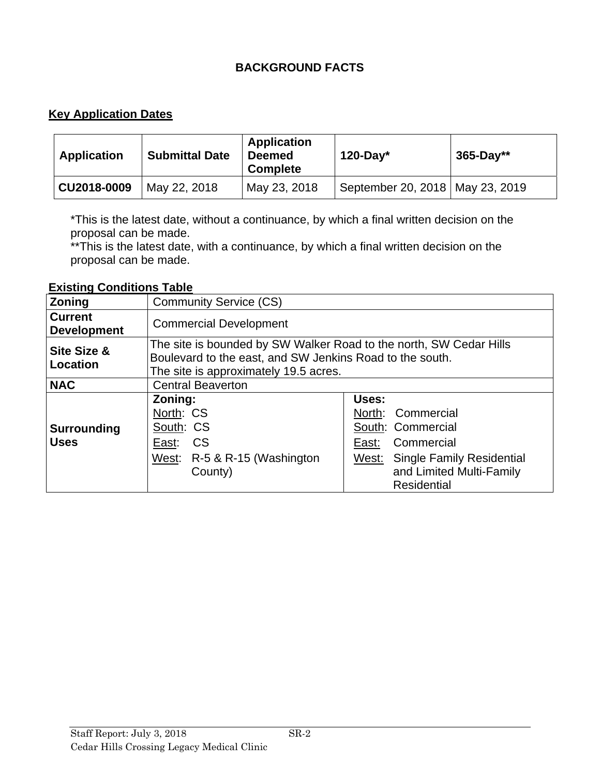# **BACKGROUND FACTS**

# **Key Application Dates**

| <b>Application</b> | <b>Submittal Date</b> | <b>Application</b><br><b>Deemed</b><br><b>Complete</b> | $120$ -Day*                       | $365 - Day**$ |
|--------------------|-----------------------|--------------------------------------------------------|-----------------------------------|---------------|
| CU2018-0009        | May 22, 2018          | May 23, 2018                                           | September 20, 2018   May 23, 2019 |               |

\*This is the latest date, without a continuance, by which a final written decision on the proposal can be made.

\*\*This is the latest date, with a continuance, by which a final written decision on the proposal can be made.

### **Existing Conditions Table**

| Zoning                               | <b>Community Service (CS)</b>                                                                                                                                           |                                                                                                                                                                       |  |  |
|--------------------------------------|-------------------------------------------------------------------------------------------------------------------------------------------------------------------------|-----------------------------------------------------------------------------------------------------------------------------------------------------------------------|--|--|
| <b>Current</b><br><b>Development</b> | <b>Commercial Development</b>                                                                                                                                           |                                                                                                                                                                       |  |  |
| Site Size &<br>Location              | The site is bounded by SW Walker Road to the north, SW Cedar Hills<br>Boulevard to the east, and SW Jenkins Road to the south.<br>The site is approximately 19.5 acres. |                                                                                                                                                                       |  |  |
| <b>NAC</b>                           | <b>Central Beaverton</b>                                                                                                                                                |                                                                                                                                                                       |  |  |
| <b>Surrounding</b><br><b>Uses</b>    | Zoning:<br>North: CS<br>South: CS<br>East: CS<br>West: R-5 & R-15 (Washington<br>County)                                                                                | Uses:<br>North: Commercial<br>South: Commercial<br>Commercial<br>East:<br><b>Single Family Residential</b><br>West:<br>and Limited Multi-Family<br><b>Residential</b> |  |  |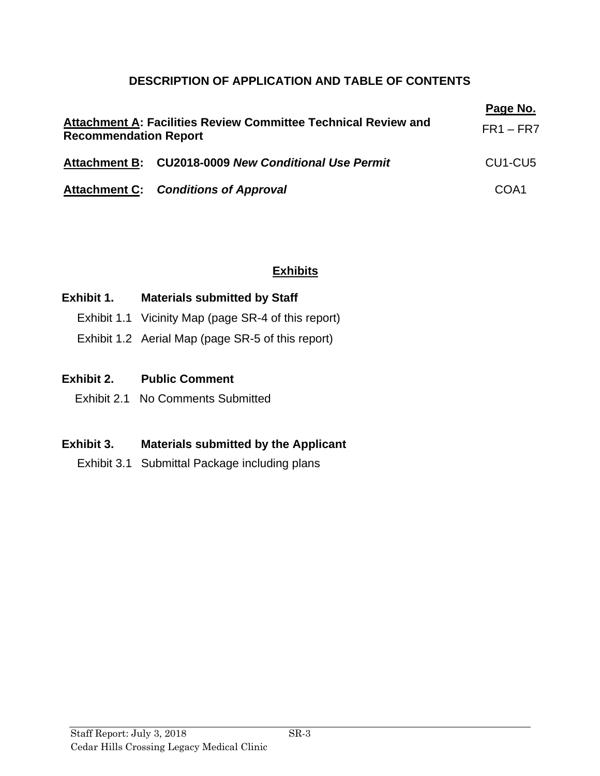# **DESCRIPTION OF APPLICATION AND TABLE OF CONTENTS**

| Attachment A: Facilities Review Committee Technical Review and<br><b>Recommendation Report</b> | Page No.<br>$FR1 - FR7$                              |                                  |
|------------------------------------------------------------------------------------------------|------------------------------------------------------|----------------------------------|
|                                                                                                | Attachment B: CU2018-0009 New Conditional Use Permit | CU <sub>1</sub> -CU <sub>5</sub> |
|                                                                                                | <b>Attachment C: Conditions of Approval</b>          | COA1                             |

# **Exhibits**

# **Exhibit 1. Materials submitted by Staff**

- Exhibit 1.1 Vicinity Map (page SR-4 of this report)
- Exhibit 1.2 Aerial Map (page SR-5 of this report)

## **Exhibit 2. Public Comment**

Exhibit 2.1 No Comments Submitted

# **Exhibit 3. Materials submitted by the Applicant**

Exhibit 3.1 Submittal Package including plans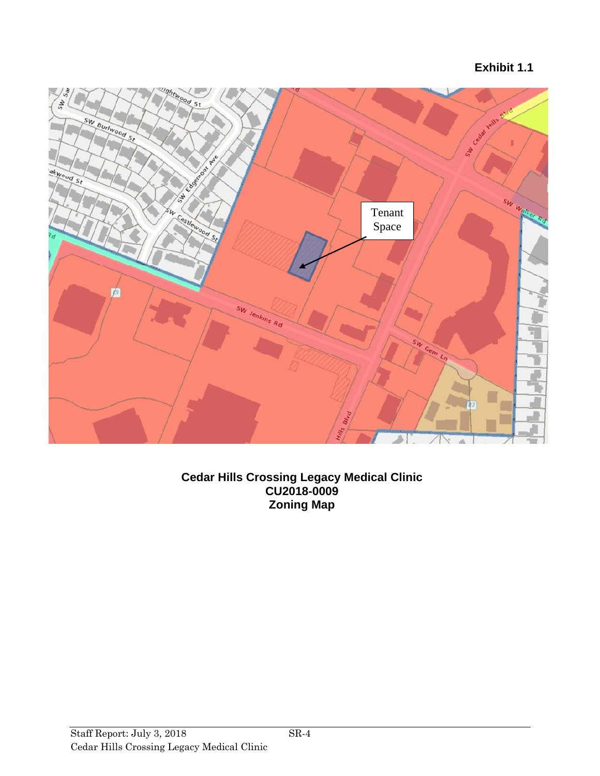**Exhibit 1.1**



**Cedar Hills Crossing Legacy Medical Clinic CU2018-0009 Zoning Map**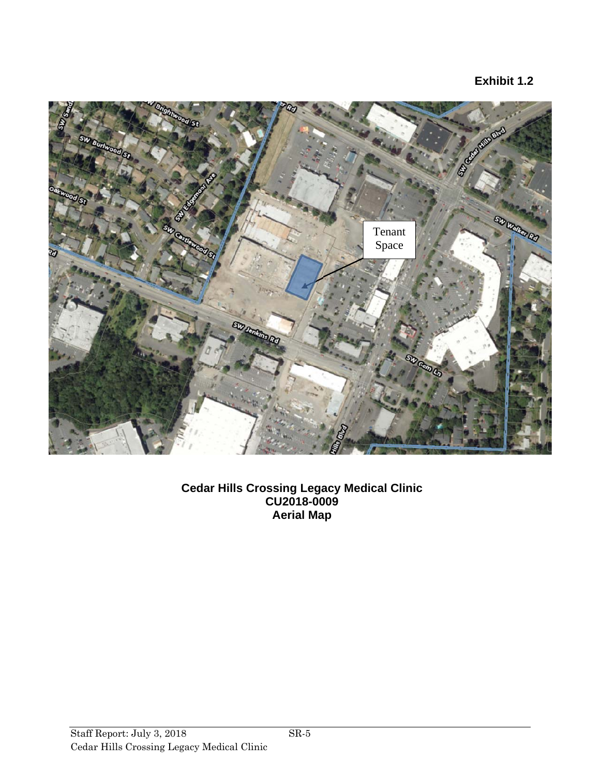# **Exhibit 1.2**



**Cedar Hills Crossing Legacy Medical Clinic CU2018-0009 Aerial Map**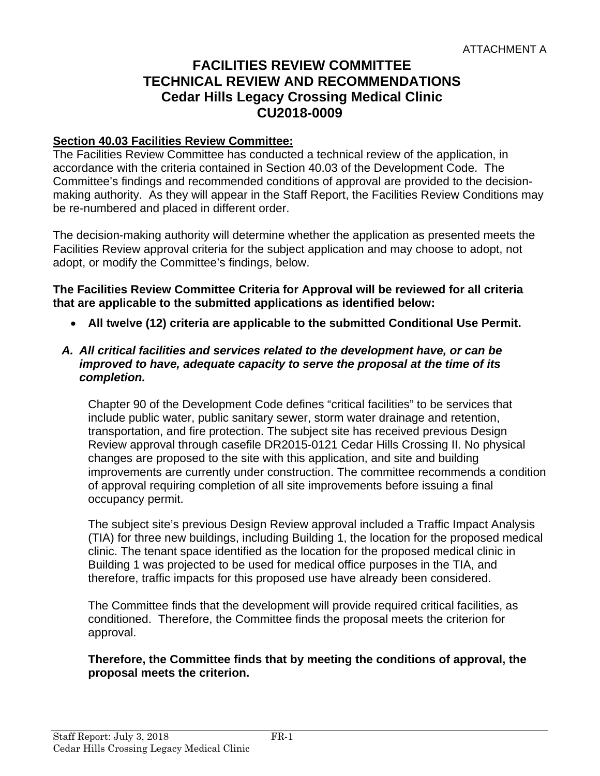# **FACILITIES REVIEW COMMITTEE TECHNICAL REVIEW AND RECOMMENDATIONS Cedar Hills Legacy Crossing Medical Clinic CU2018-0009**

### **Section 40.03 Facilities Review Committee:**

The Facilities Review Committee has conducted a technical review of the application, in accordance with the criteria contained in Section 40.03 of the Development Code. The Committee's findings and recommended conditions of approval are provided to the decisionmaking authority. As they will appear in the Staff Report, the Facilities Review Conditions may be re-numbered and placed in different order.

The decision-making authority will determine whether the application as presented meets the Facilities Review approval criteria for the subject application and may choose to adopt, not adopt, or modify the Committee's findings, below.

**The Facilities Review Committee Criteria for Approval will be reviewed for all criteria that are applicable to the submitted applications as identified below:** 

**All twelve (12) criteria are applicable to the submitted Conditional Use Permit.** 

### *A. All critical facilities and services related to the development have, or can be improved to have, adequate capacity to serve the proposal at the time of its completion.*

Chapter 90 of the Development Code defines "critical facilities" to be services that include public water, public sanitary sewer, storm water drainage and retention, transportation, and fire protection. The subject site has received previous Design Review approval through casefile DR2015-0121 Cedar Hills Crossing II. No physical changes are proposed to the site with this application, and site and building improvements are currently under construction. The committee recommends a condition of approval requiring completion of all site improvements before issuing a final occupancy permit.

The subject site's previous Design Review approval included a Traffic Impact Analysis (TIA) for three new buildings, including Building 1, the location for the proposed medical clinic. The tenant space identified as the location for the proposed medical clinic in Building 1 was projected to be used for medical office purposes in the TIA, and therefore, traffic impacts for this proposed use have already been considered.

The Committee finds that the development will provide required critical facilities, as conditioned. Therefore, the Committee finds the proposal meets the criterion for approval.

### **Therefore, the Committee finds that by meeting the conditions of approval, the proposal meets the criterion.**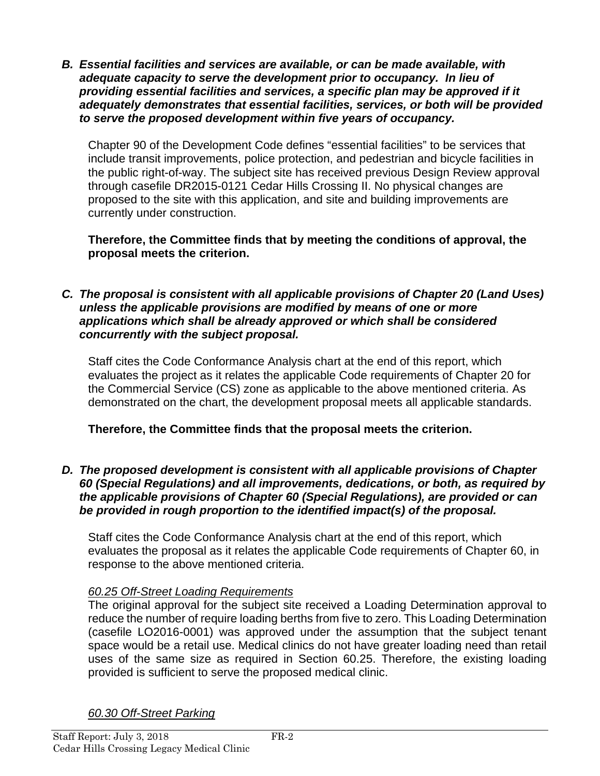*B. Essential facilities and services are available, or can be made available, with adequate capacity to serve the development prior to occupancy. In lieu of providing essential facilities and services, a specific plan may be approved if it adequately demonstrates that essential facilities, services, or both will be provided to serve the proposed development within five years of occupancy.* 

Chapter 90 of the Development Code defines "essential facilities" to be services that include transit improvements, police protection, and pedestrian and bicycle facilities in the public right-of-way. The subject site has received previous Design Review approval through casefile DR2015-0121 Cedar Hills Crossing II. No physical changes are proposed to the site with this application, and site and building improvements are currently under construction.

**Therefore, the Committee finds that by meeting the conditions of approval, the proposal meets the criterion.** 

*C. The proposal is consistent with all applicable provisions of Chapter 20 (Land Uses) unless the applicable provisions are modified by means of one or more applications which shall be already approved or which shall be considered concurrently with the subject proposal.* 

Staff cites the Code Conformance Analysis chart at the end of this report, which evaluates the project as it relates the applicable Code requirements of Chapter 20 for the Commercial Service (CS) zone as applicable to the above mentioned criteria. As demonstrated on the chart, the development proposal meets all applicable standards.

**Therefore, the Committee finds that the proposal meets the criterion.** 

### *D. The proposed development is consistent with all applicable provisions of Chapter 60 (Special Regulations) and all improvements, dedications, or both, as required by the applicable provisions of Chapter 60 (Special Regulations), are provided or can be provided in rough proportion to the identified impact(s) of the proposal.*

Staff cites the Code Conformance Analysis chart at the end of this report, which evaluates the proposal as it relates the applicable Code requirements of Chapter 60, in response to the above mentioned criteria.

# *60.25 Off-Street Loading Requirements*

The original approval for the subject site received a Loading Determination approval to reduce the number of require loading berths from five to zero. This Loading Determination (casefile LO2016-0001) was approved under the assumption that the subject tenant space would be a retail use. Medical clinics do not have greater loading need than retail uses of the same size as required in Section 60.25. Therefore, the existing loading provided is sufficient to serve the proposed medical clinic.

*60.30 Off-Street Parking*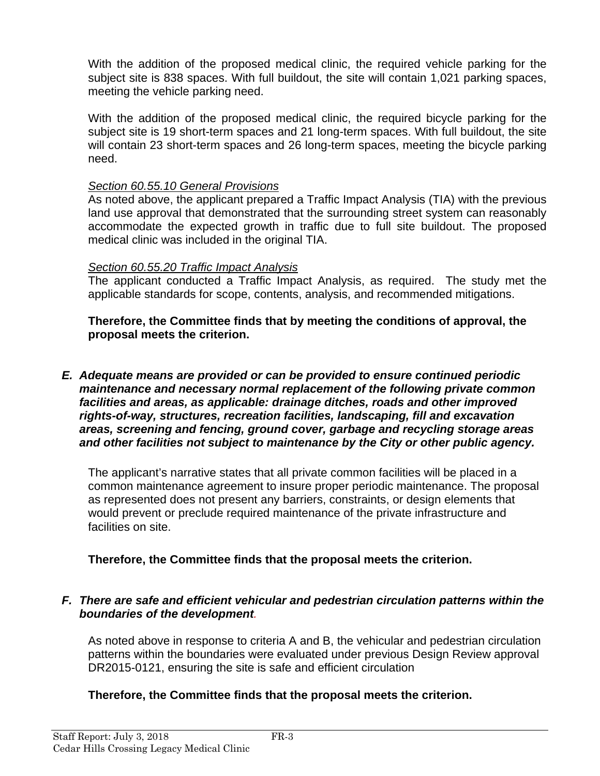With the addition of the proposed medical clinic, the required vehicle parking for the subject site is 838 spaces. With full buildout, the site will contain 1,021 parking spaces, meeting the vehicle parking need.

With the addition of the proposed medical clinic, the required bicycle parking for the subject site is 19 short-term spaces and 21 long-term spaces. With full buildout, the site will contain 23 short-term spaces and 26 long-term spaces, meeting the bicycle parking need.

### *Section 60.55.10 General Provisions*

As noted above, the applicant prepared a Traffic Impact Analysis (TIA) with the previous land use approval that demonstrated that the surrounding street system can reasonably accommodate the expected growth in traffic due to full site buildout. The proposed medical clinic was included in the original TIA.

### *Section 60.55.20 Traffic Impact Analysis*

The applicant conducted a Traffic Impact Analysis, as required. The study met the applicable standards for scope, contents, analysis, and recommended mitigations.

**Therefore, the Committee finds that by meeting the conditions of approval, the proposal meets the criterion.** 

*E. Adequate means are provided or can be provided to ensure continued periodic maintenance and necessary normal replacement of the following private common facilities and areas, as applicable: drainage ditches, roads and other improved rights-of-way, structures, recreation facilities, landscaping, fill and excavation areas, screening and fencing, ground cover, garbage and recycling storage areas and other facilities not subject to maintenance by the City or other public agency.* 

The applicant's narrative states that all private common facilities will be placed in a common maintenance agreement to insure proper periodic maintenance. The proposal as represented does not present any barriers, constraints, or design elements that would prevent or preclude required maintenance of the private infrastructure and facilities on site.

### **Therefore, the Committee finds that the proposal meets the criterion.**

### *F. There are safe and efficient vehicular and pedestrian circulation patterns within the boundaries of the development.*

As noted above in response to criteria A and B, the vehicular and pedestrian circulation patterns within the boundaries were evaluated under previous Design Review approval DR2015-0121, ensuring the site is safe and efficient circulation

### **Therefore, the Committee finds that the proposal meets the criterion.**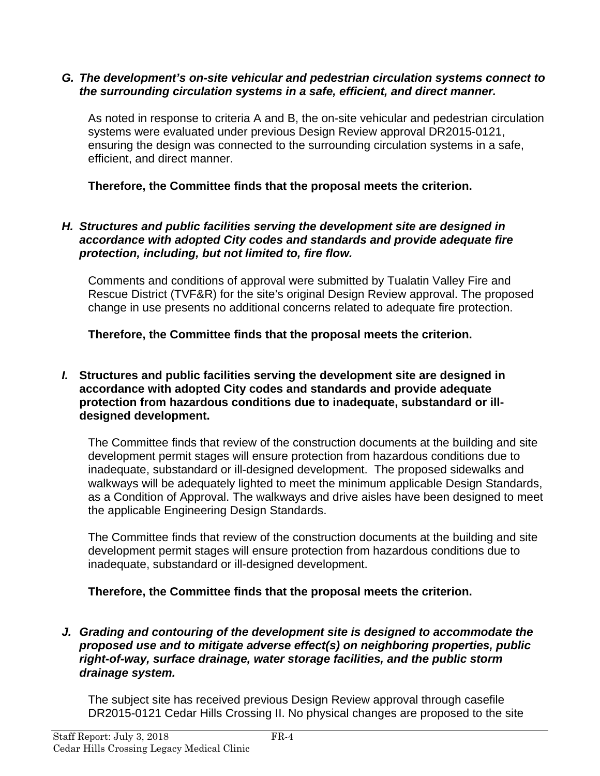### *G. The development's on-site vehicular and pedestrian circulation systems connect to the surrounding circulation systems in a safe, efficient, and direct manner.*

As noted in response to criteria A and B, the on-site vehicular and pedestrian circulation systems were evaluated under previous Design Review approval DR2015-0121, ensuring the design was connected to the surrounding circulation systems in a safe, efficient, and direct manner.

**Therefore, the Committee finds that the proposal meets the criterion.** 

### *H. Structures and public facilities serving the development site are designed in accordance with adopted City codes and standards and provide adequate fire protection, including, but not limited to, fire flow.*

Comments and conditions of approval were submitted by Tualatin Valley Fire and Rescue District (TVF&R) for the site's original Design Review approval. The proposed change in use presents no additional concerns related to adequate fire protection.

**Therefore, the Committee finds that the proposal meets the criterion.** 

### *I.* **Structures and public facilities serving the development site are designed in accordance with adopted City codes and standards and provide adequate protection from hazardous conditions due to inadequate, substandard or illdesigned development.**

The Committee finds that review of the construction documents at the building and site development permit stages will ensure protection from hazardous conditions due to inadequate, substandard or ill-designed development. The proposed sidewalks and walkways will be adequately lighted to meet the minimum applicable Design Standards, as a Condition of Approval. The walkways and drive aisles have been designed to meet the applicable Engineering Design Standards.

The Committee finds that review of the construction documents at the building and site development permit stages will ensure protection from hazardous conditions due to inadequate, substandard or ill-designed development.

**Therefore, the Committee finds that the proposal meets the criterion.** 

### *J. Grading and contouring of the development site is designed to accommodate the proposed use and to mitigate adverse effect(s) on neighboring properties, public right-of-way, surface drainage, water storage facilities, and the public storm drainage system.*

The subject site has received previous Design Review approval through casefile DR2015-0121 Cedar Hills Crossing II. No physical changes are proposed to the site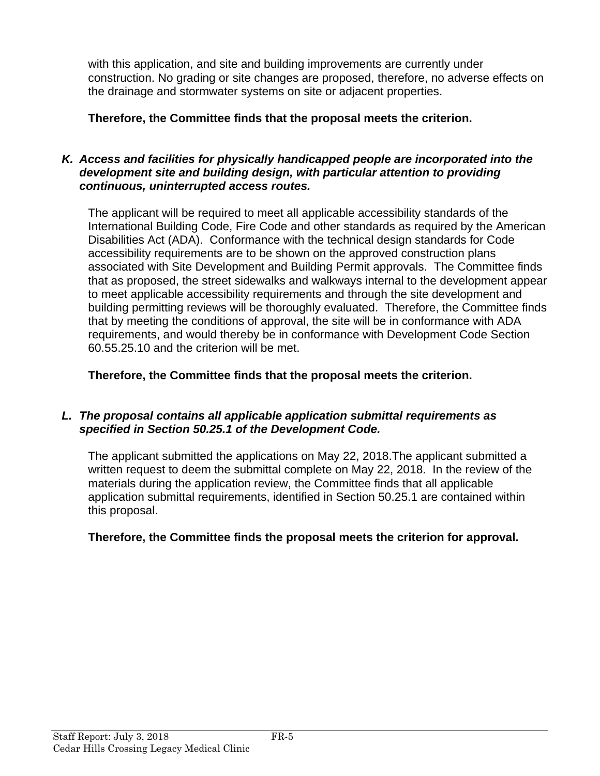with this application, and site and building improvements are currently under construction. No grading or site changes are proposed, therefore, no adverse effects on the drainage and stormwater systems on site or adjacent properties.

**Therefore, the Committee finds that the proposal meets the criterion.** 

## *K. Access and facilities for physically handicapped people are incorporated into the development site and building design, with particular attention to providing continuous, uninterrupted access routes.*

The applicant will be required to meet all applicable accessibility standards of the International Building Code, Fire Code and other standards as required by the American Disabilities Act (ADA). Conformance with the technical design standards for Code accessibility requirements are to be shown on the approved construction plans associated with Site Development and Building Permit approvals. The Committee finds that as proposed, the street sidewalks and walkways internal to the development appear to meet applicable accessibility requirements and through the site development and building permitting reviews will be thoroughly evaluated. Therefore, the Committee finds that by meeting the conditions of approval, the site will be in conformance with ADA requirements, and would thereby be in conformance with Development Code Section 60.55.25.10 and the criterion will be met.

**Therefore, the Committee finds that the proposal meets the criterion.** 

# *L. The proposal contains all applicable application submittal requirements as specified in Section 50.25.1 of the Development Code.*

The applicant submitted the applications on May 22, 2018.The applicant submitted a written request to deem the submittal complete on May 22, 2018. In the review of the materials during the application review, the Committee finds that all applicable application submittal requirements, identified in Section 50.25.1 are contained within this proposal.

# **Therefore, the Committee finds the proposal meets the criterion for approval.**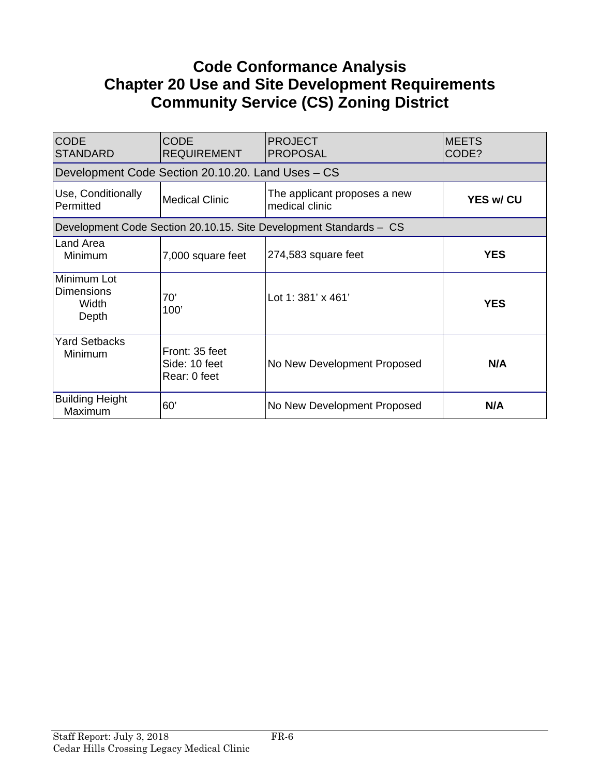# **Code Conformance Analysis Chapter 20 Use and Site Development Requirements Community Service (CS) Zoning District**

| <b>CODE</b><br><b>STANDARD</b>                                     | <b>CODE</b><br><b>REQUIREMENT</b>                 | <b>PROJECT</b><br><b>PROPOSAL</b>              | <b>MEETS</b><br>CODE? |  |  |
|--------------------------------------------------------------------|---------------------------------------------------|------------------------------------------------|-----------------------|--|--|
|                                                                    | Development Code Section 20.10.20. Land Uses – CS |                                                |                       |  |  |
| Use, Conditionally<br>Permitted                                    | <b>Medical Clinic</b>                             | The applicant proposes a new<br>medical clinic | <b>YES w/ CU</b>      |  |  |
| Development Code Section 20.10.15. Site Development Standards - CS |                                                   |                                                |                       |  |  |
| Land Area<br>Minimum                                               | 7,000 square feet                                 | 274,583 square feet                            | <b>YES</b>            |  |  |
| Minimum Lot<br><b>Dimensions</b><br>Width<br>Depth                 | 70'<br>100'                                       | Lot 1: $381' \times 461'$                      | <b>YES</b>            |  |  |
| <b>Yard Setbacks</b><br>Minimum                                    | Front: 35 feet<br>Side: 10 feet<br>Rear: 0 feet   | No New Development Proposed                    | N/A                   |  |  |
| <b>Building Height</b><br>Maximum                                  | 60'                                               | No New Development Proposed                    | N/A                   |  |  |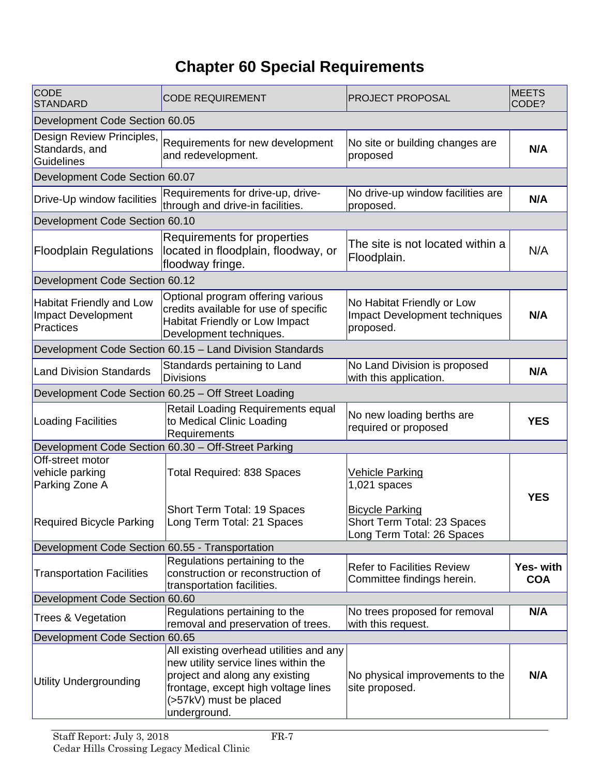# **Chapter 60 Special Requirements**

| <b>CODE</b><br><b>STANDARD</b>                                                   | <b>CODE REQUIREMENT</b>                                                                                                                                                                            | <b>PROJECT PROPOSAL</b>                                                             | <b>MEETS</b><br>CODE?   |  |  |
|----------------------------------------------------------------------------------|----------------------------------------------------------------------------------------------------------------------------------------------------------------------------------------------------|-------------------------------------------------------------------------------------|-------------------------|--|--|
| Development Code Section 60.05                                                   |                                                                                                                                                                                                    |                                                                                     |                         |  |  |
| Design Review Principles,<br>Standards, and<br>Guidelines                        | Requirements for new development<br>and redevelopment.                                                                                                                                             | No site or building changes are<br>proposed                                         | N/A                     |  |  |
| Development Code Section 60.07                                                   |                                                                                                                                                                                                    |                                                                                     |                         |  |  |
| Drive-Up window facilities                                                       | Requirements for drive-up, drive-<br>through and drive-in facilities.                                                                                                                              | No drive-up window facilities are<br>proposed.                                      | N/A                     |  |  |
| Development Code Section 60.10                                                   |                                                                                                                                                                                                    |                                                                                     |                         |  |  |
| <b>Floodplain Regulations</b>                                                    | Requirements for properties<br>located in floodplain, floodway, or<br>floodway fringe.                                                                                                             | The site is not located within a<br>Floodplain.                                     | N/A                     |  |  |
| Development Code Section 60.12                                                   |                                                                                                                                                                                                    |                                                                                     |                         |  |  |
| <b>Habitat Friendly and Low</b><br><b>Impact Development</b><br><b>Practices</b> | Optional program offering various<br>credits available for use of specific<br>Habitat Friendly or Low Impact<br>Development techniques.                                                            | No Habitat Friendly or Low<br><b>Impact Development techniques</b><br>proposed.     | N/A                     |  |  |
| Development Code Section 60.15 - Land Division Standards                         |                                                                                                                                                                                                    |                                                                                     |                         |  |  |
| <b>Land Division Standards</b>                                                   | Standards pertaining to Land<br><b>Divisions</b>                                                                                                                                                   | No Land Division is proposed<br>with this application.                              | N/A                     |  |  |
|                                                                                  | Development Code Section 60.25 - Off Street Loading                                                                                                                                                |                                                                                     |                         |  |  |
| Loading Facilities                                                               | Retail Loading Requirements equal<br>to Medical Clinic Loading<br>Requirements                                                                                                                     | No new loading berths are<br>required or proposed                                   | <b>YES</b>              |  |  |
|                                                                                  | Development Code Section 60.30 - Off-Street Parking                                                                                                                                                |                                                                                     |                         |  |  |
| Off-street motor<br>vehicle parking<br>Parking Zone A                            | <b>Total Required: 838 Spaces</b>                                                                                                                                                                  | <b>Vehicle Parking</b><br>$1,021$ spaces                                            | <b>YES</b>              |  |  |
| <b>Required Bicycle Parking</b>                                                  | Short Term Total: 19 Spaces<br>Long Term Total: 21 Spaces                                                                                                                                          | <b>Bicycle Parking</b><br>Short Term Total: 23 Spaces<br>Long Term Total: 26 Spaces |                         |  |  |
| Development Code Section 60.55 - Transportation                                  |                                                                                                                                                                                                    |                                                                                     |                         |  |  |
| <b>Transportation Facilities</b>                                                 | Regulations pertaining to the<br>construction or reconstruction of<br>transportation facilities.                                                                                                   | <b>Refer to Facilities Review</b><br>Committee findings herein.                     | Yes- with<br><b>COA</b> |  |  |
| Development Code Section 60.60                                                   |                                                                                                                                                                                                    |                                                                                     |                         |  |  |
| Trees & Vegetation                                                               | Regulations pertaining to the<br>removal and preservation of trees.                                                                                                                                | No trees proposed for removal<br>with this request.                                 | N/A                     |  |  |
| Development Code Section 60.65                                                   |                                                                                                                                                                                                    |                                                                                     |                         |  |  |
| <b>Utility Undergrounding</b>                                                    | All existing overhead utilities and any<br>new utility service lines within the<br>project and along any existing<br>frontage, except high voltage lines<br>(>57kV) must be placed<br>underground. | No physical improvements to the<br>site proposed.                                   | N/A                     |  |  |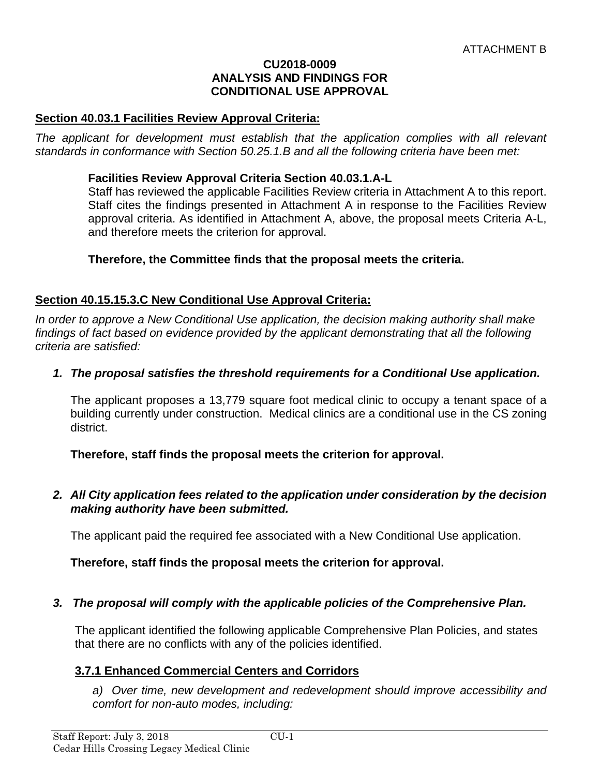#### **CU2018-0009 ANALYSIS AND FINDINGS FOR CONDITIONAL USE APPROVAL**

### **Section 40.03.1 Facilities Review Approval Criteria:**

The applicant for development must establish that the application complies with all relevant *standards in conformance with Section 50.25.1.B and all the following criteria have been met:* 

#### **Facilities Review Approval Criteria Section 40.03.1.A-L**

Staff has reviewed the applicable Facilities Review criteria in Attachment A to this report. Staff cites the findings presented in Attachment A in response to the Facilities Review approval criteria. As identified in Attachment A, above, the proposal meets Criteria A-L, and therefore meets the criterion for approval.

#### **Therefore, the Committee finds that the proposal meets the criteria.**

### **Section 40.15.15.3.C New Conditional Use Approval Criteria:**

*In order to approve a New Conditional Use application, the decision making authority shall make*  findings of fact based on evidence provided by the applicant demonstrating that all the following *criteria are satisfied:* 

### *1. The proposal satisfies the threshold requirements for a Conditional Use application.*

The applicant proposes a 13,779 square foot medical clinic to occupy a tenant space of a building currently under construction. Medical clinics are a conditional use in the CS zoning district.

**Therefore, staff finds the proposal meets the criterion for approval.** 

### *2. All City application fees related to the application under consideration by the decision making authority have been submitted.*

The applicant paid the required fee associated with a New Conditional Use application.

**Therefore, staff finds the proposal meets the criterion for approval.** 

### *3. The proposal will comply with the applicable policies of the Comprehensive Plan.*

The applicant identified the following applicable Comprehensive Plan Policies, and states that there are no conflicts with any of the policies identified.

### **3.7.1 Enhanced Commercial Centers and Corridors**

*a) Over time, new development and redevelopment should improve accessibility and comfort for non-auto modes, including:*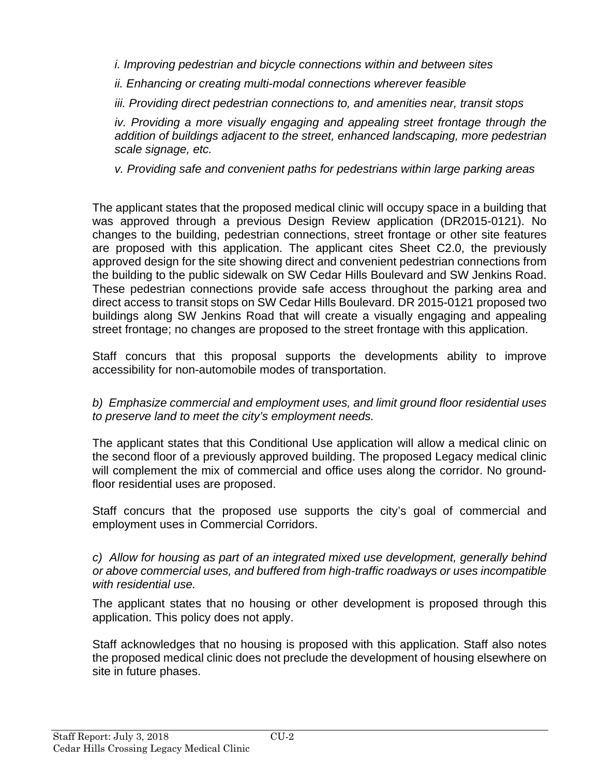*i. Improving pedestrian and bicycle connections within and between sites* 

*ii. Enhancing or creating multi-modal connections wherever feasible* 

*iii. Providing direct pedestrian connections to, and amenities near, transit stops* 

*iv. Providing a more visually engaging and appealing street frontage through the addition of buildings adjacent to the street, enhanced landscaping, more pedestrian scale signage, etc.* 

*v. Providing safe and convenient paths for pedestrians within large parking areas* 

The applicant states that the proposed medical clinic will occupy space in a building that was approved through a previous Design Review application (DR2015-0121). No changes to the building, pedestrian connections, street frontage or other site features are proposed with this application. The applicant cites Sheet C2.0, the previously approved design for the site showing direct and convenient pedestrian connections from the building to the public sidewalk on SW Cedar Hills Boulevard and SW Jenkins Road. These pedestrian connections provide safe access throughout the parking area and direct access to transit stops on SW Cedar Hills Boulevard. DR 2015-0121 proposed two buildings along SW Jenkins Road that will create a visually engaging and appealing street frontage; no changes are proposed to the street frontage with this application.

Staff concurs that this proposal supports the developments ability to improve accessibility for non-automobile modes of transportation.

*b) Emphasize commercial and employment uses, and limit ground floor residential uses to preserve land to meet the city's employment needs.*

The applicant states that this Conditional Use application will allow a medical clinic on the second floor of a previously approved building. The proposed Legacy medical clinic will complement the mix of commercial and office uses along the corridor. No groundfloor residential uses are proposed.

Staff concurs that the proposed use supports the city's goal of commercial and employment uses in Commercial Corridors.

*c) Allow for housing as part of an integrated mixed use development, generally behind or above commercial uses, and buffered from high-traffic roadways or uses incompatible with residential use.* 

The applicant states that no housing or other development is proposed through this application. This policy does not apply.

Staff acknowledges that no housing is proposed with this application. Staff also notes the proposed medical clinic does not preclude the development of housing elsewhere on site in future phases.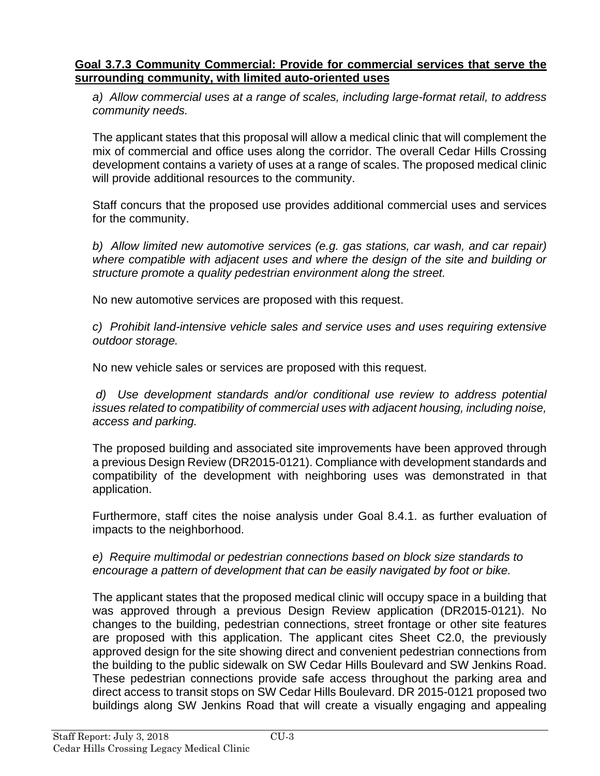### **Goal 3.7.3 Community Commercial: Provide for commercial services that serve the surrounding community, with limited auto-oriented uses**

*a) Allow commercial uses at a range of scales, including large-format retail, to address community needs.* 

The applicant states that this proposal will allow a medical clinic that will complement the mix of commercial and office uses along the corridor. The overall Cedar Hills Crossing development contains a variety of uses at a range of scales. The proposed medical clinic will provide additional resources to the community.

Staff concurs that the proposed use provides additional commercial uses and services for the community.

*b) Allow limited new automotive services (e.g. gas stations, car wash, and car repair) where compatible with adjacent uses and where the design of the site and building or structure promote a quality pedestrian environment along the street.* 

No new automotive services are proposed with this request.

*c) Prohibit land-intensive vehicle sales and service uses and uses requiring extensive outdoor storage.* 

No new vehicle sales or services are proposed with this request.

*d) Use development standards and/or conditional use review to address potential issues related to compatibility of commercial uses with adjacent housing, including noise, access and parking.* 

The proposed building and associated site improvements have been approved through a previous Design Review (DR2015-0121). Compliance with development standards and compatibility of the development with neighboring uses was demonstrated in that application.

Furthermore, staff cites the noise analysis under Goal 8.4.1. as further evaluation of impacts to the neighborhood.

*e) Require multimodal or pedestrian connections based on block size standards to encourage a pattern of development that can be easily navigated by foot or bike.* 

The applicant states that the proposed medical clinic will occupy space in a building that was approved through a previous Design Review application (DR2015-0121). No changes to the building, pedestrian connections, street frontage or other site features are proposed with this application. The applicant cites Sheet C2.0, the previously approved design for the site showing direct and convenient pedestrian connections from the building to the public sidewalk on SW Cedar Hills Boulevard and SW Jenkins Road. These pedestrian connections provide safe access throughout the parking area and direct access to transit stops on SW Cedar Hills Boulevard. DR 2015-0121 proposed two buildings along SW Jenkins Road that will create a visually engaging and appealing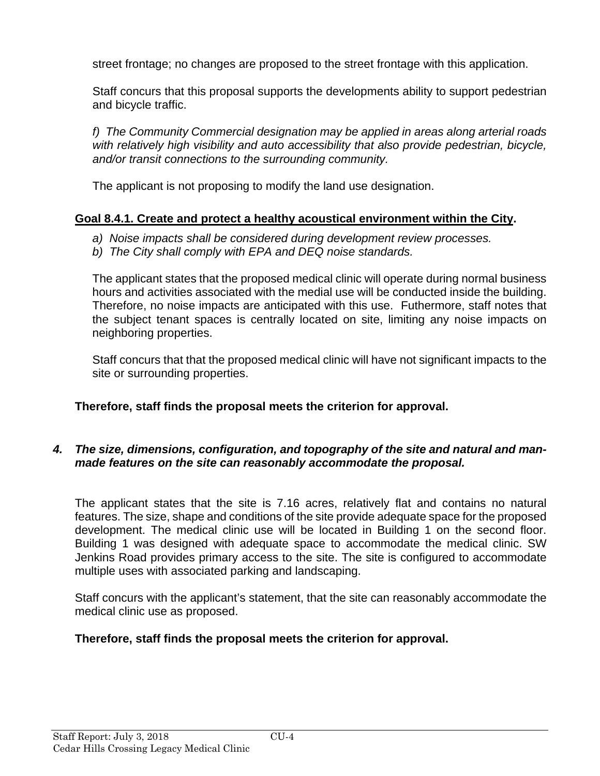street frontage; no changes are proposed to the street frontage with this application.

Staff concurs that this proposal supports the developments ability to support pedestrian and bicycle traffic.

*f) The Community Commercial designation may be applied in areas along arterial roads with relatively high visibility and auto accessibility that also provide pedestrian, bicycle, and/or transit connections to the surrounding community.* 

The applicant is not proposing to modify the land use designation.

# **Goal 8.4.1. Create and protect a healthy acoustical environment within the City.**

- *a) Noise impacts shall be considered during development review processes.*
- *b) The City shall comply with EPA and DEQ noise standards.*

The applicant states that the proposed medical clinic will operate during normal business hours and activities associated with the medial use will be conducted inside the building. Therefore, no noise impacts are anticipated with this use. Futhermore, staff notes that the subject tenant spaces is centrally located on site, limiting any noise impacts on neighboring properties.

Staff concurs that that the proposed medical clinic will have not significant impacts to the site or surrounding properties.

# **Therefore, staff finds the proposal meets the criterion for approval.**

## *4. The size, dimensions, configuration, and topography of the site and natural and manmade features on the site can reasonably accommodate the proposal.*

The applicant states that the site is 7.16 acres, relatively flat and contains no natural features. The size, shape and conditions of the site provide adequate space for the proposed development. The medical clinic use will be located in Building 1 on the second floor. Building 1 was designed with adequate space to accommodate the medical clinic. SW Jenkins Road provides primary access to the site. The site is configured to accommodate multiple uses with associated parking and landscaping.

Staff concurs with the applicant's statement, that the site can reasonably accommodate the medical clinic use as proposed.

# **Therefore, staff finds the proposal meets the criterion for approval.**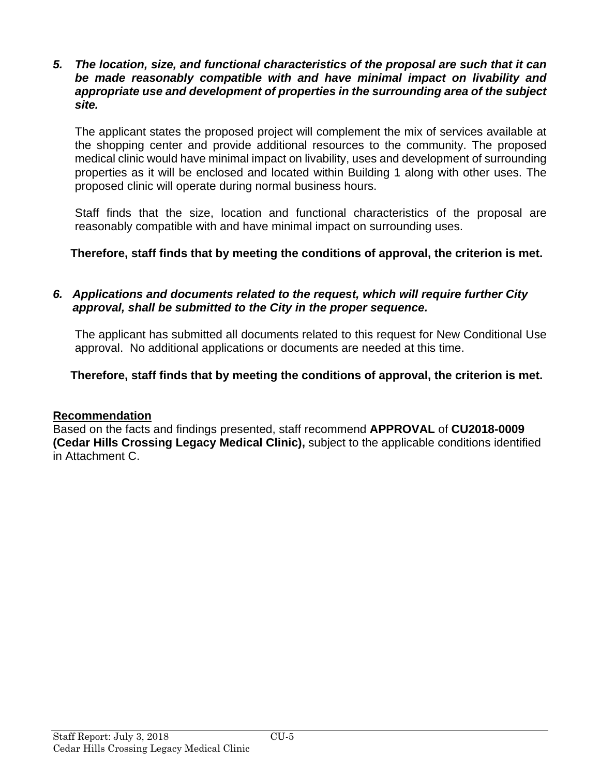### *5. The location, size, and functional characteristics of the proposal are such that it can be made reasonably compatible with and have minimal impact on livability and appropriate use and development of properties in the surrounding area of the subject site.*

The applicant states the proposed project will complement the mix of services available at the shopping center and provide additional resources to the community. The proposed medical clinic would have minimal impact on livability, uses and development of surrounding properties as it will be enclosed and located within Building 1 along with other uses. The proposed clinic will operate during normal business hours.

Staff finds that the size, location and functional characteristics of the proposal are reasonably compatible with and have minimal impact on surrounding uses.

# **Therefore, staff finds that by meeting the conditions of approval, the criterion is met.**

### *6. Applications and documents related to the request, which will require further City approval, shall be submitted to the City in the proper sequence.*

The applicant has submitted all documents related to this request for New Conditional Use approval. No additional applications or documents are needed at this time.

# **Therefore, staff finds that by meeting the conditions of approval, the criterion is met.**

### **Recommendation**

Based on the facts and findings presented, staff recommend **APPROVAL** of **CU2018-0009 (Cedar Hills Crossing Legacy Medical Clinic),** subject to the applicable conditions identified in Attachment C.